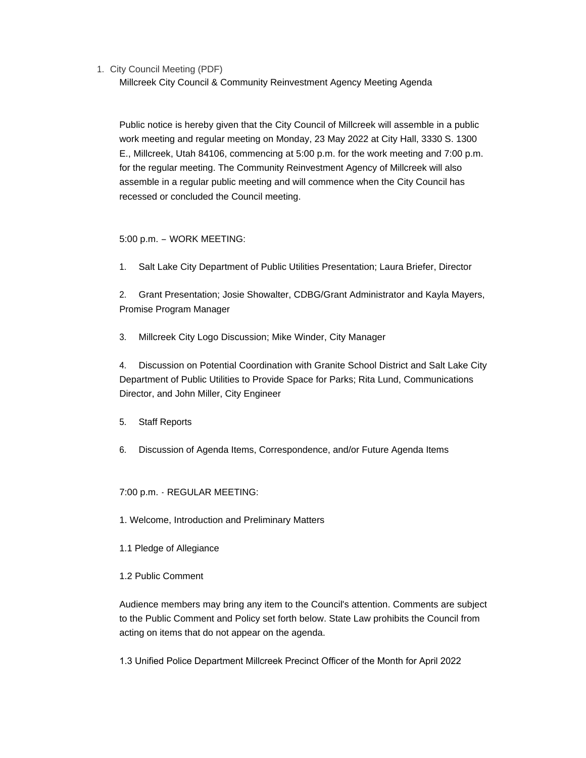1. City Council Meeting (PDF)

Millcreek City Council & Community Reinvestment Agency Meeting Agenda

Public notice is hereby given that the City Council of Millcreek will assemble in a public work meeting and regular meeting on Monday, 23 May 2022 at City Hall, 3330 S. 1300 E., Millcreek, Utah 84106, commencing at 5:00 p.m. for the work meeting and 7:00 p.m. for the regular meeting. The Community Reinvestment Agency of Millcreek will also assemble in a regular public meeting and will commence when the City Council has recessed or concluded the Council meeting.

## 5:00 p.m. – WORK MEETING:

1. Salt Lake City Department of Public Utilities Presentation; Laura Briefer, Director

2. Grant Presentation; Josie Showalter, CDBG/Grant Administrator and Kayla Mayers, Promise Program Manager

3. Millcreek City Logo Discussion; Mike Winder, City Manager

4. Discussion on Potential Coordination with Granite School District and Salt Lake City Department of Public Utilities to Provide Space for Parks; Rita Lund, Communications Director, and John Miller, City Engineer

- 5. Staff Reports
- 6. Discussion of Agenda Items, Correspondence, and/or Future Agenda Items

## 7:00 p.m. - REGULAR MEETING:

- 1. Welcome, Introduction and Preliminary Matters
- 1.1 Pledge of Allegiance
- 1.2 Public Comment

Audience members may bring any item to the Council's attention. Comments are subject to the Public Comment and Policy set forth below. State Law prohibits the Council from acting on items that do not appear on the agenda.

1.3 Unified Police Department Millcreek Precinct Officer of the Month for April 2022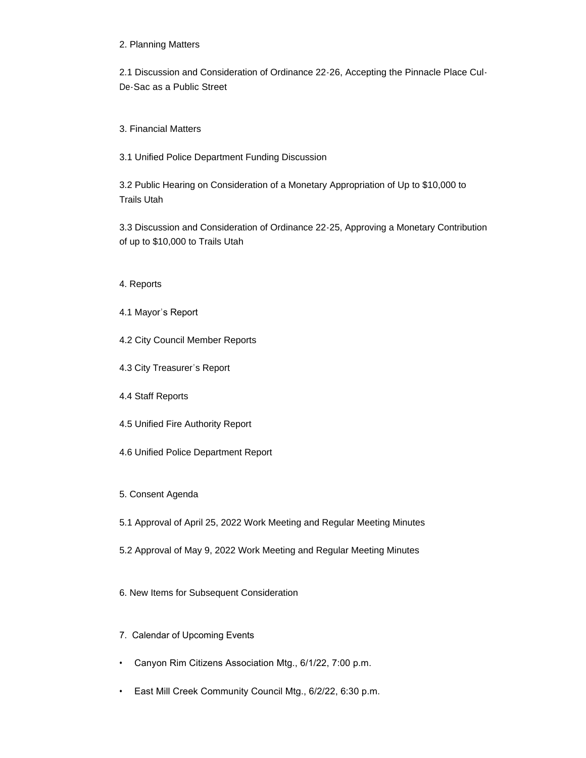## 2. Planning Matters

2.1 Discussion and Consideration of Ordinance 22-26, Accepting the Pinnacle Place Cul-De-Sac as a Public Street

3. Financial Matters

3.1 Unified Police Department Funding Discussion

3.2 Public Hearing on Consideration of a Monetary Appropriation of Up to \$10,000 to Trails Utah

3.3 Discussion and Consideration of Ordinance 22-25, Approving a Monetary Contribution of up to \$10,000 to Trails Utah

- 4. Reports
- 4.1 Mayor's Report
- 4.2 City Council Member Reports
- 4.3 City Treasurer's Report
- 4.4 Staff Reports
- 4.5 Unified Fire Authority Report
- 4.6 Unified Police Department Report
- 5. Consent Agenda
- 5.1 Approval of April 25, 2022 Work Meeting and Regular Meeting Minutes
- 5.2 Approval of May 9, 2022 Work Meeting and Regular Meeting Minutes
- 6. New Items for Subsequent Consideration
- 7. Calendar of Upcoming Events
- Canyon Rim Citizens Association Mtg., 6/1/22, 7:00 p.m.
- East Mill Creek Community Council Mtg., 6/2/22, 6:30 p.m.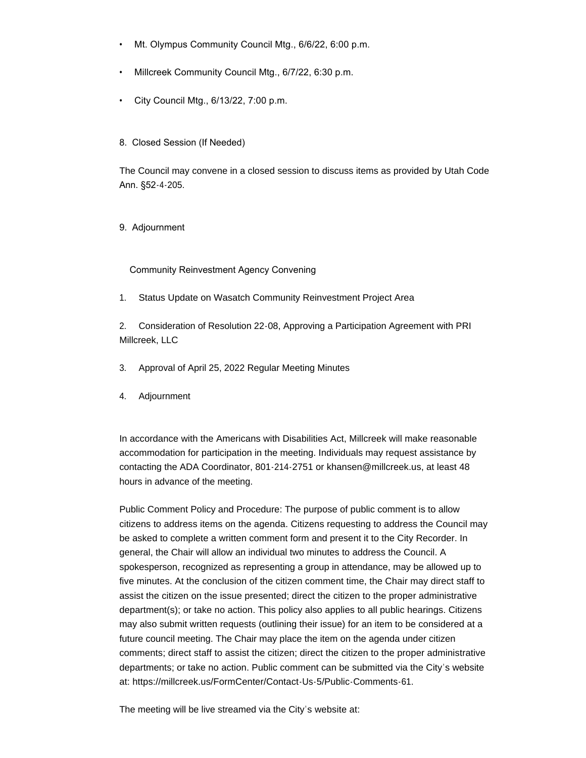- Mt. Olympus Community Council Mtg., 6/6/22, 6:00 p.m.
- Millcreek Community Council Mtg., 6/7/22, 6:30 p.m.
- City Council Mtg., 6/13/22, 7:00 p.m.
- 8. Closed Session (If Needed)

The Council may convene in a closed session to discuss items as provided by Utah Code Ann. §52-4-205.

9. Adjournment

Community Reinvestment Agency Convening

1. Status Update on Wasatch Community Reinvestment Project Area

2. Consideration of Resolution 22-08, Approving a Participation Agreement with PRI Millcreek, LLC

- 3. Approval of April 25, 2022 Regular Meeting Minutes
- 4. Adjournment

In accordance with the Americans with Disabilities Act, Millcreek will make reasonable accommodation for participation in the meeting. Individuals may request assistance by contacting the ADA Coordinator, 801-214-2751 or khansen@millcreek.us, at least 48 hours in advance of the meeting.

Public Comment Policy and Procedure: The purpose of public comment is to allow citizens to address items on the agenda. Citizens requesting to address the Council may be asked to complete a written comment form and present it to the City Recorder. In general, the Chair will allow an individual two minutes to address the Council. A spokesperson, recognized as representing a group in attendance, may be allowed up to five minutes. At the conclusion of the citizen comment time, the Chair may direct staff to assist the citizen on the issue presented; direct the citizen to the proper administrative department(s); or take no action. This policy also applies to all public hearings. Citizens may also submit written requests (outlining their issue) for an item to be considered at a future council meeting. The Chair may place the item on the agenda under citizen comments; direct staff to assist the citizen; direct the citizen to the proper administrative departments; or take no action. Public comment can be submitted via the City's website at: https://millcreek.us/FormCenter/Contact-Us-5/Public-Comments-61.

The meeting will be live streamed via the City's website at: